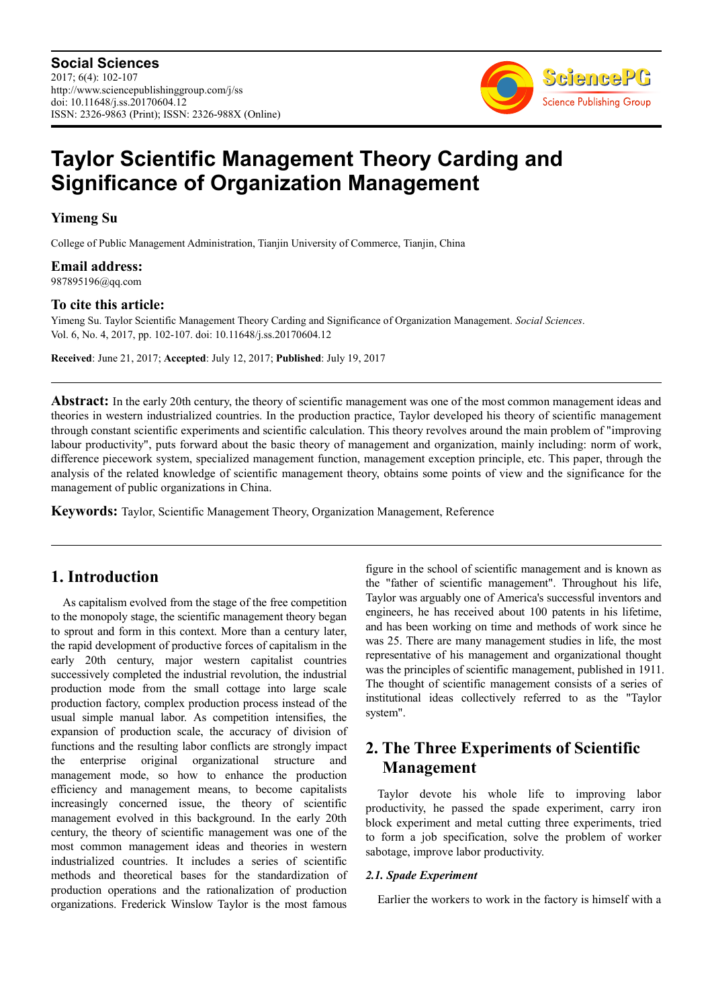

# **Taylor Scientific Management Theory Carding and Significance of Organization Management**

**Yimeng Su** 

College of Public Management Administration, Tianjin University of Commerce, Tianjin, China

**Email address:** 987895196@qq.com

**To cite this article:** 

Yimeng Su. Taylor Scientific Management Theory Carding and Significance of Organization Management. *Social Sciences*. Vol. 6, No. 4, 2017, pp. 102-107. doi: 10.11648/j.ss.20170604.12

**Received**: June 21, 2017; **Accepted**: July 12, 2017; **Published**: July 19, 2017

**Abstract:** In the early 20th century, the theory of scientific management was one of the most common management ideas and theories in western industrialized countries. In the production practice, Taylor developed his theory of scientific management through constant scientific experiments and scientific calculation. This theory revolves around the main problem of "improving labour productivity", puts forward about the basic theory of management and organization, mainly including: norm of work, difference piecework system, specialized management function, management exception principle, etc. This paper, through the analysis of the related knowledge of scientific management theory, obtains some points of view and the significance for the management of public organizations in China.

**Keywords:** Taylor, Scientific Management Theory, Organization Management, Reference

# **1. Introduction**

As capitalism evolved from the stage of the free competition to the monopoly stage, the scientific management theory began to sprout and form in this context. More than a century later, the rapid development of productive forces of capitalism in the early 20th century, major western capitalist countries successively completed the industrial revolution, the industrial production mode from the small cottage into large scale production factory, complex production process instead of the usual simple manual labor. As competition intensifies, the expansion of production scale, the accuracy of division of functions and the resulting labor conflicts are strongly impact the enterprise original organizational structure and management mode, so how to enhance the production efficiency and management means, to become capitalists increasingly concerned issue, the theory of scientific management evolved in this background. In the early 20th century, the theory of scientific management was one of the most common management ideas and theories in western industrialized countries. It includes a series of scientific methods and theoretical bases for the standardization of production operations and the rationalization of production organizations. Frederick Winslow Taylor is the most famous figure in the school of scientific management and is known as the "father of scientific management". Throughout his life, Taylor was arguably one of America's successful inventors and engineers, he has received about 100 patents in his lifetime, and has been working on time and methods of work since he was 25. There are many management studies in life, the most representative of his management and organizational thought was the principles of scientific management, published in 1911. The thought of scientific management consists of a series of institutional ideas collectively referred to as the "Taylor system".

# **2. The Three Experiments of Scientific Management**

Taylor devote his whole life to improving labor productivity, he passed the spade experiment, carry iron block experiment and metal cutting three experiments, tried to form a job specification, solve the problem of worker sabotage, improve labor productivity.

# *2.1. Spade Experiment*

Earlier the workers to work in the factory is himself with a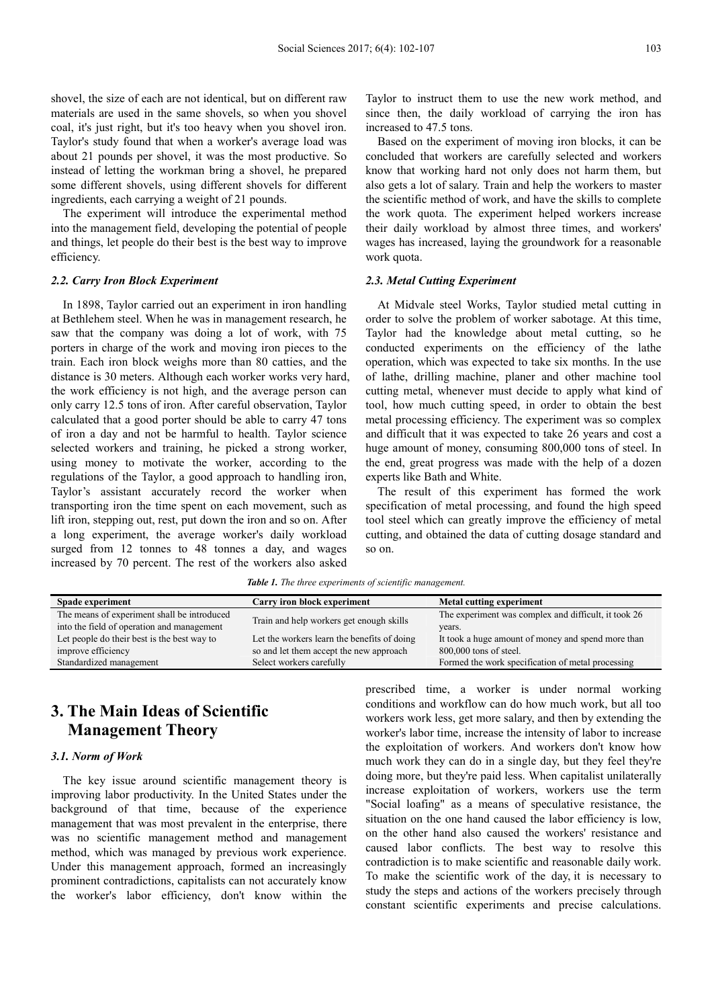shovel, the size of each are not identical, but on different raw materials are used in the same shovels, so when you shovel coal, it's just right, but it's too heavy when you shovel iron. Taylor's study found that when a worker's average load was about 21 pounds per shovel, it was the most productive. So instead of letting the workman bring a shovel, he prepared some different shovels, using different shovels for different ingredients, each carrying a weight of 21 pounds.

The experiment will introduce the experimental method into the management field, developing the potential of people and things, let people do their best is the best way to improve efficiency.

### *2.2. Carry Iron Block Experiment*

In 1898, Taylor carried out an experiment in iron handling at Bethlehem steel. When he was in management research, he saw that the company was doing a lot of work, with 75 porters in charge of the work and moving iron pieces to the train. Each iron block weighs more than 80 catties, and the distance is 30 meters. Although each worker works very hard, the work efficiency is not high, and the average person can only carry 12.5 tons of iron. After careful observation, Taylor calculated that a good porter should be able to carry 47 tons of iron a day and not be harmful to health. Taylor science selected workers and training, he picked a strong worker, using money to motivate the worker, according to the regulations of the Taylor, a good approach to handling iron, Taylor's assistant accurately record the worker when transporting iron the time spent on each movement, such as lift iron, stepping out, rest, put down the iron and so on. After a long experiment, the average worker's daily workload surged from 12 tonnes to 48 tonnes a day, and wages increased by 70 percent. The rest of the workers also asked

Taylor to instruct them to use the new work method, and since then, the daily workload of carrying the iron has increased to 47.5 tons.

Based on the experiment of moving iron blocks, it can be concluded that workers are carefully selected and workers know that working hard not only does not harm them, but also gets a lot of salary. Train and help the workers to master the scientific method of work, and have the skills to complete the work quota. The experiment helped workers increase their daily workload by almost three times, and workers' wages has increased, laying the groundwork for a reasonable work quota.

# *2.3. Metal Cutting Experiment*

At Midvale steel Works, Taylor studied metal cutting in order to solve the problem of worker sabotage. At this time, Taylor had the knowledge about metal cutting, so he conducted experiments on the efficiency of the lathe operation, which was expected to take six months. In the use of lathe, drilling machine, planer and other machine tool cutting metal, whenever must decide to apply what kind of tool, how much cutting speed, in order to obtain the best metal processing efficiency. The experiment was so complex and difficult that it was expected to take 26 years and cost a huge amount of money, consuming 800,000 tons of steel. In the end, great progress was made with the help of a dozen experts like Bath and White.

The result of this experiment has formed the work specification of metal processing, and found the high speed tool steel which can greatly improve the efficiency of metal cutting, and obtained the data of cutting dosage standard and so on.

*Table 1. The three experiments of scientific management.* 

| Spade experiment                            | Carry iron block experiment                 | Metal cutting experiment                             |
|---------------------------------------------|---------------------------------------------|------------------------------------------------------|
| The means of experiment shall be introduced | Train and help workers get enough skills    | The experiment was complex and difficult, it took 26 |
| into the field of operation and management  |                                             | years.                                               |
| Let people do their best is the best way to | Let the workers learn the benefits of doing | It took a huge amount of money and spend more than   |
| improve efficiency                          | so and let them accept the new approach     | 800,000 tons of steel.                               |
| Standardized management                     | Select workers carefully                    | Formed the work specification of metal processing    |

# **3. The Main Ideas of Scientific Management Theory**

# *3.1. Norm of Work*

The key issue around scientific management theory is improving labor productivity. In the United States under the background of that time, because of the experience management that was most prevalent in the enterprise, there was no scientific management method and management method, which was managed by previous work experience. Under this management approach, formed an increasingly prominent contradictions, capitalists can not accurately know the worker's labor efficiency, don't know within the prescribed time, a worker is under normal working conditions and workflow can do how much work, but all too workers work less, get more salary, and then by extending the worker's labor time, increase the intensity of labor to increase the exploitation of workers. And workers don't know how much work they can do in a single day, but they feel they're doing more, but they're paid less. When capitalist unilaterally increase exploitation of workers, workers use the term "Social loafing" as a means of speculative resistance, the situation on the one hand caused the labor efficiency is low, on the other hand also caused the workers' resistance and caused labor conflicts. The best way to resolve this contradiction is to make scientific and reasonable daily work. To make the scientific work of the day, it is necessary to study the steps and actions of the workers precisely through constant scientific experiments and precise calculations.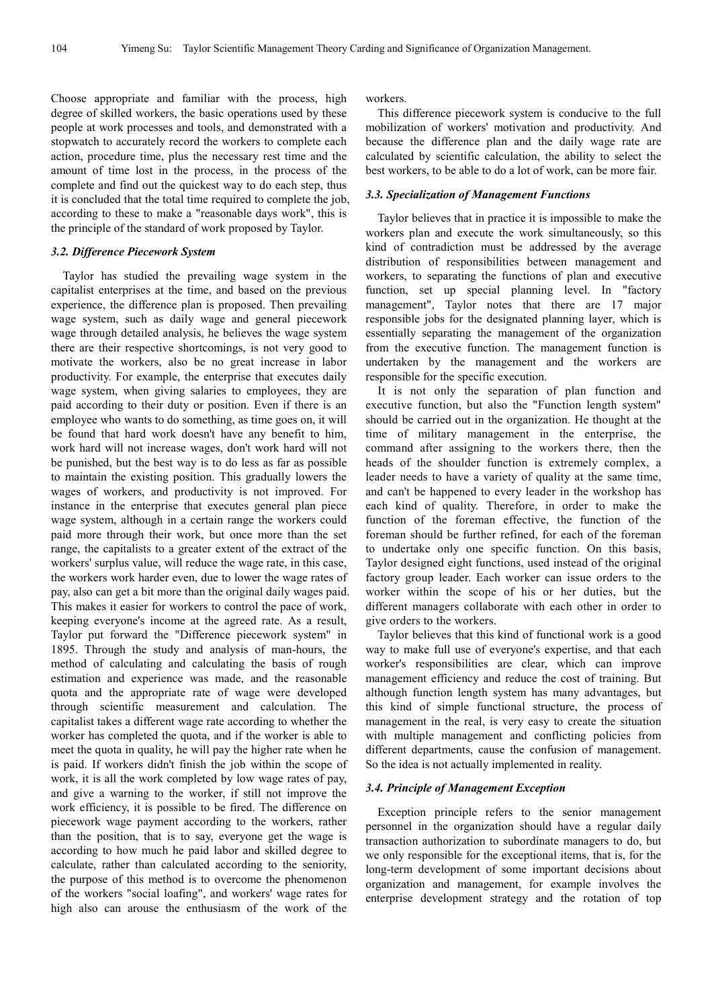Choose appropriate and familiar with the process, high degree of skilled workers, the basic operations used by these people at work processes and tools, and demonstrated with a stopwatch to accurately record the workers to complete each action, procedure time, plus the necessary rest time and the amount of time lost in the process, in the process of the complete and find out the quickest way to do each step, thus it is concluded that the total time required to complete the job, according to these to make a "reasonable days work", this is the principle of the standard of work proposed by Taylor.

### *3.2. Difference Piecework System*

Taylor has studied the prevailing wage system in the capitalist enterprises at the time, and based on the previous experience, the difference plan is proposed. Then prevailing wage system, such as daily wage and general piecework wage through detailed analysis, he believes the wage system there are their respective shortcomings, is not very good to motivate the workers, also be no great increase in labor productivity. For example, the enterprise that executes daily wage system, when giving salaries to employees, they are paid according to their duty or position. Even if there is an employee who wants to do something, as time goes on, it will be found that hard work doesn't have any benefit to him, work hard will not increase wages, don't work hard will not be punished, but the best way is to do less as far as possible to maintain the existing position. This gradually lowers the wages of workers, and productivity is not improved. For instance in the enterprise that executes general plan piece wage system, although in a certain range the workers could paid more through their work, but once more than the set range, the capitalists to a greater extent of the extract of the workers' surplus value, will reduce the wage rate, in this case, the workers work harder even, due to lower the wage rates of pay, also can get a bit more than the original daily wages paid. This makes it easier for workers to control the pace of work, keeping everyone's income at the agreed rate. As a result, Taylor put forward the "Difference piecework system" in 1895. Through the study and analysis of man-hours, the method of calculating and calculating the basis of rough estimation and experience was made, and the reasonable quota and the appropriate rate of wage were developed through scientific measurement and calculation. The capitalist takes a different wage rate according to whether the worker has completed the quota, and if the worker is able to meet the quota in quality, he will pay the higher rate when he is paid. If workers didn't finish the job within the scope of work, it is all the work completed by low wage rates of pay, and give a warning to the worker, if still not improve the work efficiency, it is possible to be fired. The difference on piecework wage payment according to the workers, rather than the position, that is to say, everyone get the wage is according to how much he paid labor and skilled degree to calculate, rather than calculated according to the seniority, the purpose of this method is to overcome the phenomenon of the workers "social loafing", and workers' wage rates for high also can arouse the enthusiasm of the work of the

workers.

This difference piecework system is conducive to the full mobilization of workers' motivation and productivity. And because the difference plan and the daily wage rate are calculated by scientific calculation, the ability to select the best workers, to be able to do a lot of work, can be more fair.

## *3.3. Specialization of Management Functions*

Taylor believes that in practice it is impossible to make the workers plan and execute the work simultaneously, so this kind of contradiction must be addressed by the average distribution of responsibilities between management and workers, to separating the functions of plan and executive function, set up special planning level. In "factory management", Taylor notes that there are 17 major responsible jobs for the designated planning layer, which is essentially separating the management of the organization from the executive function. The management function is undertaken by the management and the workers are responsible for the specific execution.

It is not only the separation of plan function and executive function, but also the "Function length system" should be carried out in the organization. He thought at the time of military management in the enterprise, the command after assigning to the workers there, then the heads of the shoulder function is extremely complex, a leader needs to have a variety of quality at the same time, and can't be happened to every leader in the workshop has each kind of quality. Therefore, in order to make the function of the foreman effective, the function of the foreman should be further refined, for each of the foreman to undertake only one specific function. On this basis, Taylor designed eight functions, used instead of the original factory group leader. Each worker can issue orders to the worker within the scope of his or her duties, but the different managers collaborate with each other in order to give orders to the workers.

Taylor believes that this kind of functional work is a good way to make full use of everyone's expertise, and that each worker's responsibilities are clear, which can improve management efficiency and reduce the cost of training. But although function length system has many advantages, but this kind of simple functional structure, the process of management in the real, is very easy to create the situation with multiple management and conflicting policies from different departments, cause the confusion of management. So the idea is not actually implemented in reality.

#### *3.4. Principle of Management Exception*

Exception principle refers to the senior management personnel in the organization should have a regular daily transaction authorization to subordinate managers to do, but we only responsible for the exceptional items, that is, for the long-term development of some important decisions about organization and management, for example involves the enterprise development strategy and the rotation of top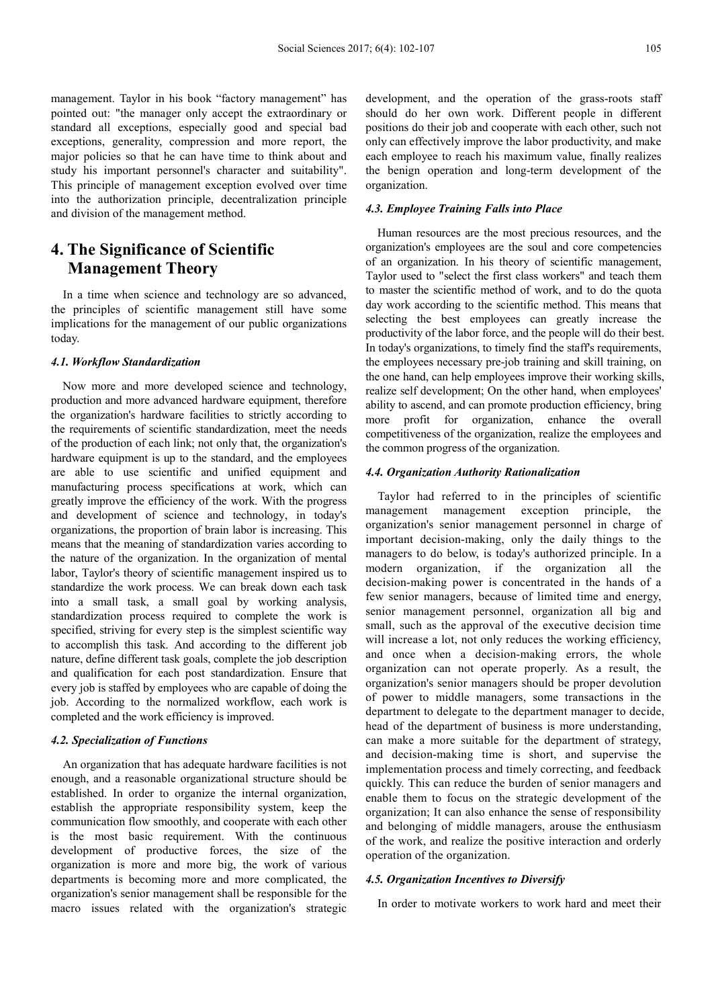management. Taylor in his book "factory management" has pointed out: "the manager only accept the extraordinary or standard all exceptions, especially good and special bad exceptions, generality, compression and more report, the major policies so that he can have time to think about and study his important personnel's character and suitability". This principle of management exception evolved over time into the authorization principle, decentralization principle and division of the management method.

# **4. The Significance of Scientific Management Theory**

In a time when science and technology are so advanced, the principles of scientific management still have some implications for the management of our public organizations today.

### *4.1. Workflow Standardization*

Now more and more developed science and technology, production and more advanced hardware equipment, therefore the organization's hardware facilities to strictly according to the requirements of scientific standardization, meet the needs of the production of each link; not only that, the organization's hardware equipment is up to the standard, and the employees are able to use scientific and unified equipment and manufacturing process specifications at work, which can greatly improve the efficiency of the work. With the progress and development of science and technology, in today's organizations, the proportion of brain labor is increasing. This means that the meaning of standardization varies according to the nature of the organization. In the organization of mental labor, Taylor's theory of scientific management inspired us to standardize the work process. We can break down each task into a small task, a small goal by working analysis, standardization process required to complete the work is specified, striving for every step is the simplest scientific way to accomplish this task. And according to the different job nature, define different task goals, complete the job description and qualification for each post standardization. Ensure that every job is staffed by employees who are capable of doing the job. According to the normalized workflow, each work is completed and the work efficiency is improved.

# *4.2. Specialization of Functions*

An organization that has adequate hardware facilities is not enough, and a reasonable organizational structure should be established. In order to organize the internal organization, establish the appropriate responsibility system, keep the communication flow smoothly, and cooperate with each other is the most basic requirement. With the continuous development of productive forces, the size of the organization is more and more big, the work of various departments is becoming more and more complicated, the organization's senior management shall be responsible for the macro issues related with the organization's strategic development, and the operation of the grass-roots staff should do her own work. Different people in different positions do their job and cooperate with each other, such not only can effectively improve the labor productivity, and make each employee to reach his maximum value, finally realizes the benign operation and long-term development of the organization.

## *4.3. Employee Training Falls into Place*

Human resources are the most precious resources, and the organization's employees are the soul and core competencies of an organization. In his theory of scientific management, Taylor used to "select the first class workers" and teach them to master the scientific method of work, and to do the quota day work according to the scientific method. This means that selecting the best employees can greatly increase the productivity of the labor force, and the people will do their best. In today's organizations, to timely find the staff's requirements, the employees necessary pre-job training and skill training, on the one hand, can help employees improve their working skills, realize self development; On the other hand, when employees' ability to ascend, and can promote production efficiency, bring more profit for organization, enhance the overall competitiveness of the organization, realize the employees and the common progress of the organization.

#### *4.4. Organization Authority Rationalization*

Taylor had referred to in the principles of scientific management management exception principle, the organization's senior management personnel in charge of important decision-making, only the daily things to the managers to do below, is today's authorized principle. In a modern organization, if the organization all the decision-making power is concentrated in the hands of a few senior managers, because of limited time and energy, senior management personnel, organization all big and small, such as the approval of the executive decision time will increase a lot, not only reduces the working efficiency, and once when a decision-making errors, the whole organization can not operate properly. As a result, the organization's senior managers should be proper devolution of power to middle managers, some transactions in the department to delegate to the department manager to decide, head of the department of business is more understanding, can make a more suitable for the department of strategy, and decision-making time is short, and supervise the implementation process and timely correcting, and feedback quickly. This can reduce the burden of senior managers and enable them to focus on the strategic development of the organization; It can also enhance the sense of responsibility and belonging of middle managers, arouse the enthusiasm of the work, and realize the positive interaction and orderly operation of the organization.

#### *4.5. Organization Incentives to Diversify*

In order to motivate workers to work hard and meet their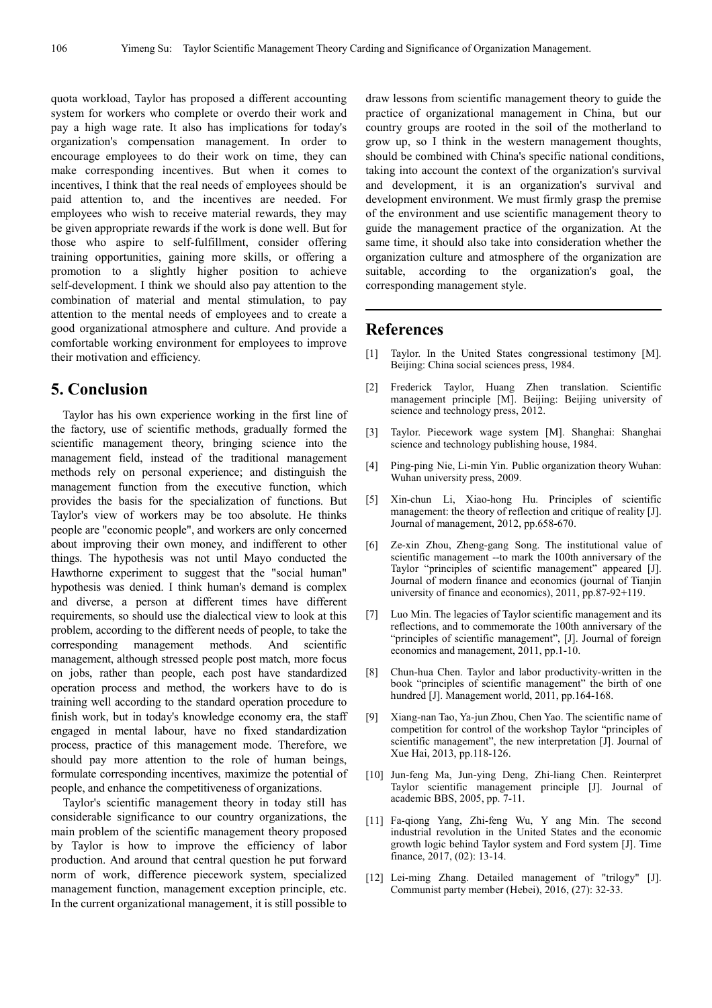quota workload, Taylor has proposed a different accounting system for workers who complete or overdo their work and pay a high wage rate. It also has implications for today's organization's compensation management. In order to encourage employees to do their work on time, they can make corresponding incentives. But when it comes to incentives, I think that the real needs of employees should be paid attention to, and the incentives are needed. For employees who wish to receive material rewards, they may be given appropriate rewards if the work is done well. But for those who aspire to self-fulfillment, consider offering training opportunities, gaining more skills, or offering a promotion to a slightly higher position to achieve self-development. I think we should also pay attention to the combination of material and mental stimulation, to pay attention to the mental needs of employees and to create a good organizational atmosphere and culture. And provide a comfortable working environment for employees to improve their motivation and efficiency.

# **5. Conclusion**

Taylor has his own experience working in the first line of the factory, use of scientific methods, gradually formed the scientific management theory, bringing science into the management field, instead of the traditional management methods rely on personal experience; and distinguish the management function from the executive function, which provides the basis for the specialization of functions. But Taylor's view of workers may be too absolute. He thinks people are "economic people", and workers are only concerned about improving their own money, and indifferent to other things. The hypothesis was not until Mayo conducted the Hawthorne experiment to suggest that the "social human" hypothesis was denied. I think human's demand is complex and diverse, a person at different times have different requirements, so should use the dialectical view to look at this problem, according to the different needs of people, to take the corresponding management methods. And scientific management, although stressed people post match, more focus on jobs, rather than people, each post have standardized operation process and method, the workers have to do is training well according to the standard operation procedure to finish work, but in today's knowledge economy era, the staff engaged in mental labour, have no fixed standardization process, practice of this management mode. Therefore, we should pay more attention to the role of human beings, formulate corresponding incentives, maximize the potential of people, and enhance the competitiveness of organizations.

Taylor's scientific management theory in today still has considerable significance to our country organizations, the main problem of the scientific management theory proposed by Taylor is how to improve the efficiency of labor production. And around that central question he put forward norm of work, difference piecework system, specialized management function, management exception principle, etc. In the current organizational management, it is still possible to draw lessons from scientific management theory to guide the practice of organizational management in China, but our country groups are rooted in the soil of the motherland to grow up, so I think in the western management thoughts, should be combined with China's specific national conditions, taking into account the context of the organization's survival and development, it is an organization's survival and development environment. We must firmly grasp the premise of the environment and use scientific management theory to guide the management practice of the organization. At the same time, it should also take into consideration whether the organization culture and atmosphere of the organization are suitable, according to the organization's goal, the corresponding management style.

# **References**

- [1] Taylor. In the United States congressional testimony [M]. Beijing: China social sciences press, 1984.
- [2] Frederick Taylor, Huang Zhen translation. Scientific management principle [M]. Beijing: Beijing university of science and technology press, 2012.
- [3] Taylor. Piecework wage system [M]. Shanghai: Shanghai science and technology publishing house, 1984.
- [4] Ping-ping Nie, Li-min Yin. Public organization theory Wuhan: Wuhan university press, 2009.
- [5] Xin-chun Li, Xiao-hong Hu. Principles of scientific management: the theory of reflection and critique of reality [J]. Journal of management, 2012, pp.658-670.
- [6] Ze-xin Zhou, Zheng-gang Song. The institutional value of scientific management --to mark the 100th anniversary of the Taylor "principles of scientific management" appeared [J]. Journal of modern finance and economics (journal of Tianjin university of finance and economics), 2011, pp.87-92+119.
- [7] Luo Min. The legacies of Taylor scientific management and its reflections, and to commemorate the 100th anniversary of the "principles of scientific management", [J]. Journal of foreign economics and management, 2011, pp.1-10.
- [8] Chun-hua Chen. Taylor and labor productivity-written in the book "principles of scientific management" the birth of one hundred [J]. Management world, 2011, pp.164-168.
- [9] Xiang-nan Tao, Ya-jun Zhou, Chen Yao. The scientific name of competition for control of the workshop Taylor "principles of scientific management", the new interpretation [J]. Journal of Xue Hai, 2013, pp.118-126.
- [10] Jun-feng Ma, Jun-ying Deng, Zhi-liang Chen. Reinterpret Taylor scientific management principle [J]. Journal of academic BBS, 2005, pp. 7-11.
- [11] Fa-qiong Yang, Zhi-feng Wu, Y ang Min. The second industrial revolution in the United States and the economic growth logic behind Taylor system and Ford system [J]. Time finance, 2017, (02): 13-14.
- [12] Lei-ming Zhang. Detailed management of "trilogy" [J]. Communist party member (Hebei), 2016, (27): 32-33.